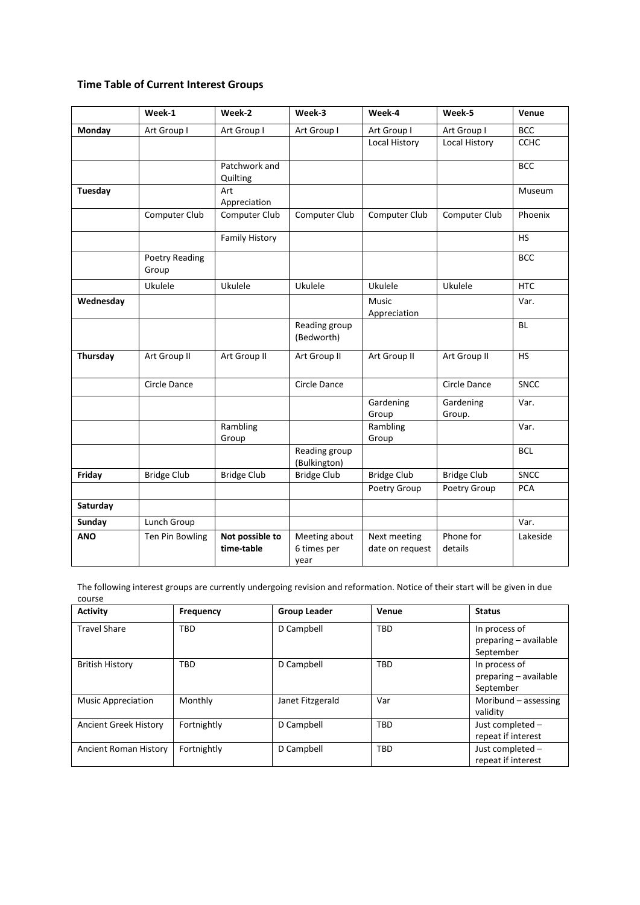## **Time Table of Current Interest Groups**

|            | Week-1                  | Week-2                        | Week-3                               | Week-4                          | Week-5               | Venue       |
|------------|-------------------------|-------------------------------|--------------------------------------|---------------------------------|----------------------|-------------|
| Monday     | Art Group I             | Art Group I                   | Art Group I                          | Art Group I                     | Art Group I          | <b>BCC</b>  |
|            |                         |                               |                                      | Local History                   | Local History        | <b>CCHC</b> |
|            |                         | Patchwork and<br>Quilting     |                                      |                                 |                      | <b>BCC</b>  |
| Tuesday    |                         | Art<br>Appreciation           |                                      |                                 |                      | Museum      |
|            | Computer Club           | Computer Club                 | Computer Club                        | Computer Club                   | Computer Club        | Phoenix     |
|            |                         | <b>Family History</b>         |                                      |                                 |                      | <b>HS</b>   |
|            | Poetry Reading<br>Group |                               |                                      |                                 |                      | <b>BCC</b>  |
|            | Ukulele                 | Ukulele                       | Ukulele                              | Ukulele                         | Ukulele              | <b>HTC</b>  |
| Wednesday  |                         |                               |                                      | Music<br>Appreciation           |                      | Var.        |
|            |                         |                               | Reading group<br>(Bedworth)          |                                 |                      | <b>BL</b>   |
| Thursday   | Art Group II            | Art Group II                  | Art Group II                         | Art Group II                    | Art Group II         | <b>HS</b>   |
|            | Circle Dance            |                               | Circle Dance                         |                                 | Circle Dance         | <b>SNCC</b> |
|            |                         |                               |                                      | Gardening<br>Group              | Gardening<br>Group.  | Var.        |
|            |                         | Rambling<br>Group             |                                      | Rambling<br>Group               |                      | Var.        |
|            |                         |                               | Reading group<br>(Bulkington)        |                                 |                      | <b>BCL</b>  |
| Friday     | <b>Bridge Club</b>      | <b>Bridge Club</b>            | <b>Bridge Club</b>                   | <b>Bridge Club</b>              | <b>Bridge Club</b>   | <b>SNCC</b> |
|            |                         |                               |                                      | Poetry Group                    | Poetry Group         | <b>PCA</b>  |
| Saturday   |                         |                               |                                      |                                 |                      |             |
| Sunday     | Lunch Group             |                               |                                      |                                 |                      | Var.        |
| <b>ANO</b> | Ten Pin Bowling         | Not possible to<br>time-table | Meeting about<br>6 times per<br>year | Next meeting<br>date on request | Phone for<br>details | Lakeside    |

The following interest groups are currently undergoing revision and reformation. Notice of their start will be given in due course

| <b>Activity</b>              | Frequency   | <b>Group Leader</b> | Venue      | <b>Status</b>                                       |
|------------------------------|-------------|---------------------|------------|-----------------------------------------------------|
| <b>Travel Share</b>          | <b>TBD</b>  | D Campbell          | <b>TBD</b> | In process of<br>preparing - available<br>September |
| <b>British History</b>       | TBD         | D Campbell          | <b>TBD</b> | In process of<br>preparing - available<br>September |
| <b>Music Appreciation</b>    | Monthly     | Janet Fitzgerald    | Var        | Moribund $-$ assessing<br>validity                  |
| <b>Ancient Greek History</b> | Fortnightly | D Campbell          | <b>TBD</b> | Just completed -<br>repeat if interest              |
| Ancient Roman History        | Fortnightly | D Campbell          | <b>TBD</b> | Just completed -<br>repeat if interest              |